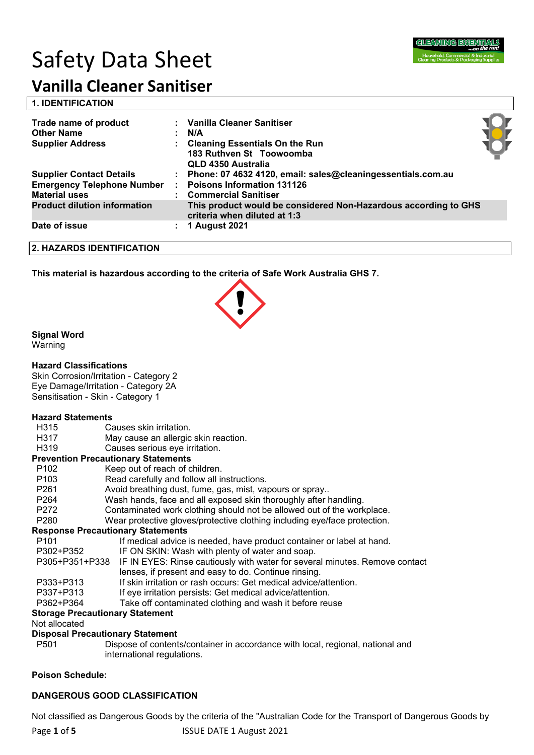# Safety Data Sheet



# **Vanilla Cleaner Sanitiser**

| <b>1. IDENTIFICATION</b> |
|--------------------------|
|--------------------------|

| Trade name of product<br><b>Other Name</b><br><b>Supplier Address</b> | : Vanilla Cleaner Sanitiser<br>: N/A<br>: Cleaning Essentials On the Run<br>183 Ruthven St Toowoomba<br>QLD 4350 Australia |  |
|-----------------------------------------------------------------------|----------------------------------------------------------------------------------------------------------------------------|--|
| <b>Supplier Contact Details</b>                                       | : Phone: 07 4632 4120, email: sales@cleaningessentials.com.au                                                              |  |
| <b>Emergency Telephone Number</b><br><b>Material uses</b>             | <b>Poisons Information 131126</b><br><b>Commercial Sanitiser</b>                                                           |  |
| <b>Product dilution information</b>                                   | This product would be considered Non-Hazardous according to GHS<br>criteria when diluted at 1:3                            |  |
| Date of issue                                                         | 1 August 2021                                                                                                              |  |

**2. HAZARDS IDENTIFICATION**

**This material is hazardous according to the criteria of Safe Work Australia GHS 7.**



#### **Signal Word**

Warning

#### **Hazard Classifications**

Skin Corrosion/Irritation - Category 2 Eye Damage/Irritation - Category 2A Sensitisation - Skin - Category 1

#### **Hazard Statements**

- H315 Causes skin irritation.
- H317 May cause an allergic skin reaction.
- H319 Causes serious eye irritation.

#### **Prevention Precautionary Statements**

| P <sub>102</sub> | Keep out of reach of children.                                              |  |  |  |  |
|------------------|-----------------------------------------------------------------------------|--|--|--|--|
| P <sub>103</sub> | Read carefully and follow all instructions.                                 |  |  |  |  |
| P <sub>261</sub> | Avoid breathing dust, fume, gas, mist, vapours or spray                     |  |  |  |  |
| P <sub>264</sub> | Wash hands, face and all exposed skin thoroughly after handling.            |  |  |  |  |
| P272             | Contaminated work clothing should not be allowed out of the workplace.      |  |  |  |  |
| P280             | Wear protective gloves/protective clothing including eye/face protection.   |  |  |  |  |
|                  | <b>Response Precautionary Statements</b>                                    |  |  |  |  |
| P <sub>101</sub> | If medical advice is needed, have product container or label at hand.       |  |  |  |  |
| P302+P352        | IF ON SKIN: Wash with plenty of water and soap.                             |  |  |  |  |
| P305+P351+P338   | IF IN EYES: Rinse cautiously with water for several minutes. Remove contact |  |  |  |  |
|                  | lenses, if present and easy to do. Continue rinsing.                        |  |  |  |  |
| P333+P313        | If skin irritation or rash occurs: Get medical advice/attention.            |  |  |  |  |
| P337+P313        | If eye irritation persists: Get medical advice/attention.                   |  |  |  |  |
| . <i>.</i>       |                                                                             |  |  |  |  |

#### P362+P364 Take off contaminated clothing and wash it before reuse

#### **Storage Precautionary Statement**

Not allocated

#### **Disposal Precautionary Statement**

P501 Dispose of contents/container in accordance with local, regional, national and international regulations.

#### **Poison Schedule:**

#### **DANGEROUS GOOD CLASSIFICATION**

Not classified as Dangerous Goods by the criteria of the "Australian Code for the Transport of Dangerous Goods by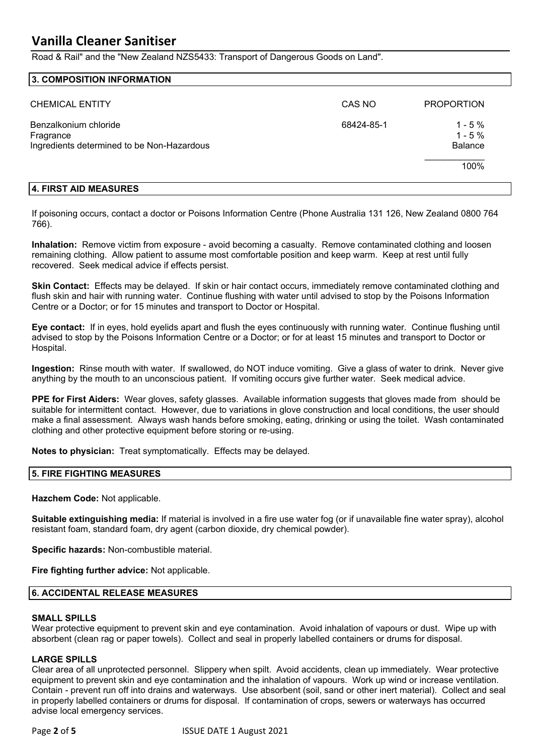## **Vanilla Cleaner Sanitiser**

Road & Rail" and the "New Zealand NZS5433: Transport of Dangerous Goods on Land".

#### **3. COMPOSITION INFORMATION**

| <b>CHEMICAL ENTITY</b>                                                           | CAS NO     | <b>PROPORTION</b>                      |
|----------------------------------------------------------------------------------|------------|----------------------------------------|
| Benzalkonium chloride<br>Fragrance<br>Ingredients determined to be Non-Hazardous | 68424-85-1 | $1 - 5%$<br>$1 - 5%$<br><b>Balance</b> |
|                                                                                  |            | 100%                                   |

#### **4. FIRST AID MEASURES**

If poisoning occurs, contact a doctor or Poisons Information Centre (Phone Australia 131 126, New Zealand 0800 764 766).

**Inhalation:** Remove victim from exposure - avoid becoming a casualty. Remove contaminated clothing and loosen remaining clothing. Allow patient to assume most comfortable position and keep warm. Keep at rest until fully recovered. Seek medical advice if effects persist.

**Skin Contact:** Effects may be delayed. If skin or hair contact occurs, immediately remove contaminated clothing and flush skin and hair with running water. Continue flushing with water until advised to stop by the Poisons Information Centre or a Doctor; or for 15 minutes and transport to Doctor or Hospital.

**Eye contact:** If in eyes, hold eyelids apart and flush the eyes continuously with running water. Continue flushing until advised to stop by the Poisons Information Centre or a Doctor; or for at least 15 minutes and transport to Doctor or Hospital.

**Ingestion:** Rinse mouth with water. If swallowed, do NOT induce vomiting. Give a glass of water to drink. Never give anything by the mouth to an unconscious patient. If vomiting occurs give further water. Seek medical advice.

**PPE for First Aiders:** Wear gloves, safety glasses. Available information suggests that gloves made from should be suitable for intermittent contact. However, due to variations in glove construction and local conditions, the user should make a final assessment. Always wash hands before smoking, eating, drinking or using the toilet. Wash contaminated clothing and other protective equipment before storing or re-using.

**Notes to physician:** Treat symptomatically. Effects may be delayed.

#### **5. FIRE FIGHTING MEASURES**

**Hazchem Code:** Not applicable.

**Suitable extinguishing media:** If material is involved in a fire use water fog (or if unavailable fine water spray), alcohol resistant foam, standard foam, dry agent (carbon dioxide, dry chemical powder).

**Specific hazards:** Non-combustible material.

**Fire fighting further advice:** Not applicable.

#### **6. ACCIDENTAL RELEASE MEASURES**

#### **SMALL SPILLS**

Wear protective equipment to prevent skin and eye contamination. Avoid inhalation of vapours or dust. Wipe up with absorbent (clean rag or paper towels). Collect and seal in properly labelled containers or drums for disposal.

#### **LARGE SPILLS**

Clear area of all unprotected personnel. Slippery when spilt. Avoid accidents, clean up immediately. Wear protective equipment to prevent skin and eye contamination and the inhalation of vapours. Work up wind or increase ventilation. Contain - prevent run off into drains and waterways. Use absorbent (soil, sand or other inert material). Collect and seal in properly labelled containers or drums for disposal. If contamination of crops, sewers or waterways has occurred advise local emergency services.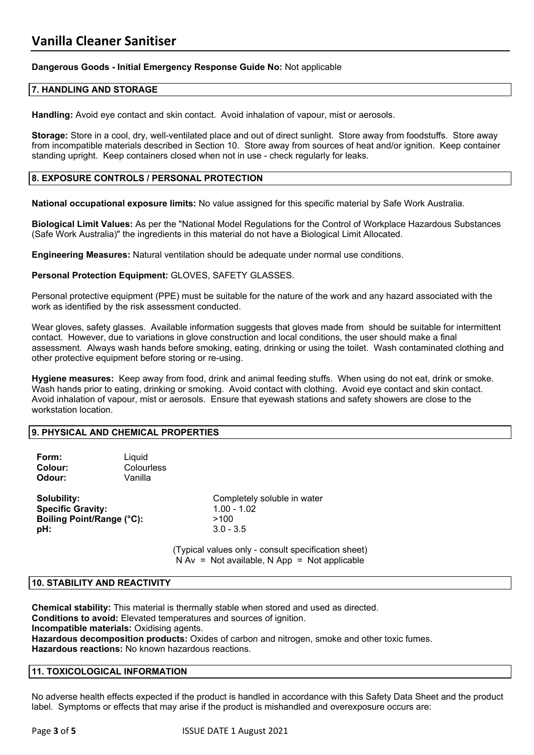#### **Dangerous Goods - Initial Emergency Response Guide No:** Not applicable

#### **7. HANDLING AND STORAGE**

**Handling:** Avoid eye contact and skin contact. Avoid inhalation of vapour, mist or aerosols.

**Storage:** Store in a cool, dry, well-ventilated place and out of direct sunlight. Store away from foodstuffs. Store away from incompatible materials described in Section 10. Store away from sources of heat and/or ignition. Keep container standing upright. Keep containers closed when not in use - check regularly for leaks.

#### **8. EXPOSURE CONTROLS / PERSONAL PROTECTION**

**National occupational exposure limits:** No value assigned for this specific material by Safe Work Australia.

**Biological Limit Values:** As per the "National Model Regulations for the Control of Workplace Hazardous Substances (Safe Work Australia)" the ingredients in this material do not have a Biological Limit Allocated.

**Engineering Measures:** Natural ventilation should be adequate under normal use conditions.

#### **Personal Protection Equipment:** GLOVES, SAFETY GLASSES.

Personal protective equipment (PPE) must be suitable for the nature of the work and any hazard associated with the work as identified by the risk assessment conducted.

Wear gloves, safety glasses. Available information suggests that gloves made from should be suitable for intermittent contact. However, due to variations in glove construction and local conditions, the user should make a final assessment. Always wash hands before smoking, eating, drinking or using the toilet. Wash contaminated clothing and other protective equipment before storing or re-using.

**Hygiene measures:** Keep away from food, drink and animal feeding stuffs. When using do not eat, drink or smoke. Wash hands prior to eating, drinking or smoking. Avoid contact with clothing. Avoid eye contact and skin contact. Avoid inhalation of vapour, mist or aerosols. Ensure that eyewash stations and safety showers are close to the workstation location.

#### **9. PHYSICAL AND CHEMICAL PROPERTIES**

| Form:<br>Colour:<br>Odour:                                                  | Liquid<br>Colourless<br>Vanilla |                                                                     |
|-----------------------------------------------------------------------------|---------------------------------|---------------------------------------------------------------------|
| Solubility:<br><b>Specific Gravity:</b><br>Boiling Point/Range (°C):<br>pH: |                                 | Completely soluble in water<br>$1.00 - 1.02$<br>>100<br>$3.0 - 3.5$ |
|                                                                             |                                 | (Typical values only - consult specificatio                         |

 $n$ cal values only - consult specification sheet)  $N Av = Not available, N App = Not applicable$ 

#### **10. STABILITY AND REACTIVITY**

**Chemical stability:** This material is thermally stable when stored and used as directed. **Conditions to avoid:** Elevated temperatures and sources of ignition. **Incompatible materials:** Oxidising agents. **Hazardous decomposition products:** Oxides of carbon and nitrogen, smoke and other toxic fumes. **Hazardous reactions:** No known hazardous reactions.

#### **11. TOXICOLOGICAL INFORMATION**

No adverse health effects expected if the product is handled in accordance with this Safety Data Sheet and the product label. Symptoms or effects that may arise if the product is mishandled and overexposure occurs are: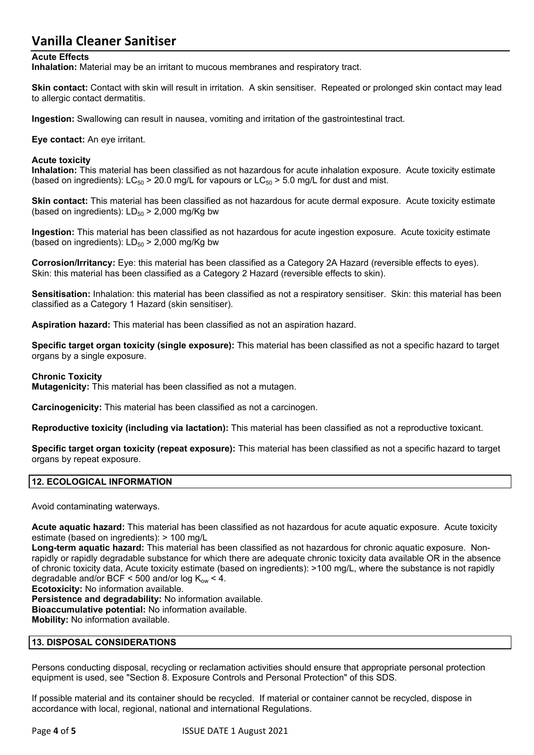### **Vanilla Cleaner Sanitiser**

#### **Acute Effects**

**Inhalation:** Material may be an irritant to mucous membranes and respiratory tract.

**Skin contact:** Contact with skin will result in irritation. A skin sensitiser. Repeated or prolonged skin contact may lead to allergic contact dermatitis.

**Ingestion:** Swallowing can result in nausea, vomiting and irritation of the gastrointestinal tract.

**Eye contact:** An eye irritant.

#### **Acute toxicity**

**Inhalation:** This material has been classified as not hazardous for acute inhalation exposure. Acute toxicity estimate (based on ingredients):  $LC_{50}$  > 20.0 mg/L for vapours or  $LC_{50}$  > 5.0 mg/L for dust and mist.

**Skin contact:** This material has been classified as not hazardous for acute dermal exposure. Acute toxicity estimate (based on ingredients):  $LD_{50}$  > 2,000 mg/Kg bw

**Ingestion:** This material has been classified as not hazardous for acute ingestion exposure. Acute toxicity estimate (based on ingredients):  $LD_{50}$  > 2,000 mg/Kg bw

**Corrosion/Irritancy:** Eye: this material has been classified as a Category 2A Hazard (reversible effects to eyes). Skin: this material has been classified as a Category 2 Hazard (reversible effects to skin).

**Sensitisation:** Inhalation: this material has been classified as not a respiratory sensitiser. Skin: this material has been classified as a Category 1 Hazard (skin sensitiser).

**Aspiration hazard:** This material has been classified as not an aspiration hazard.

**Specific target organ toxicity (single exposure):** This material has been classified as not a specific hazard to target organs by a single exposure.

#### **Chronic Toxicity**

**Mutagenicity:** This material has been classified as not a mutagen.

**Carcinogenicity:** This material has been classified as not a carcinogen.

**Reproductive toxicity (including via lactation):** This material has been classified as not a reproductive toxicant.

**Specific target organ toxicity (repeat exposure):** This material has been classified as not a specific hazard to target organs by repeat exposure.

#### **12. ECOLOGICAL INFORMATION**

Avoid contaminating waterways.

**Acute aquatic hazard:** This material has been classified as not hazardous for acute aquatic exposure. Acute toxicity estimate (based on ingredients): > 100 mg/L

**Long-term aquatic hazard:** This material has been classified as not hazardous for chronic aquatic exposure. Nonrapidly or rapidly degradable substance for which there are adequate chronic toxicity data available OR in the absence of chronic toxicity data, Acute toxicity estimate (based on ingredients): >100 mg/L, where the substance is not rapidly degradable and/or BCF < 500 and/or log  $K_{\text{ow}}$  < 4.

**Ecotoxicity:** No information available.

**Persistence and degradability:** No information available.

**Bioaccumulative potential:** No information available.

**Mobility:** No information available.

#### **13. DISPOSAL CONSIDERATIONS**

Persons conducting disposal, recycling or reclamation activities should ensure that appropriate personal protection equipment is used, see "Section 8. Exposure Controls and Personal Protection" of this SDS.

If possible material and its container should be recycled. If material or container cannot be recycled, dispose in accordance with local, regional, national and international Regulations.